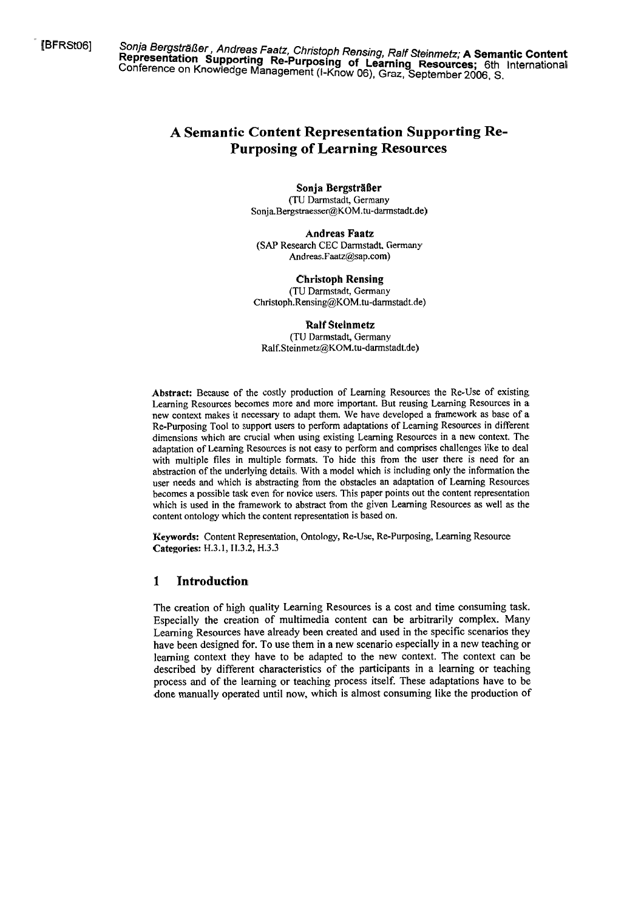[BFRSM6] Sonja Bergsträßer , Andreas Faatz, Christoph Rensing, Ralf Steinmetz; **A Semantic Content Representation Supporting Re-Purposing of Learning Resources;** 6th International Conference on Knowledge Management (I-Know 06), Graz, September 2006. **C.** 

# **A Semantic Content Representation Supporting Re-Purposing of Learning Resources**

**Sonja Bergsträßer** 

(TU Darmstadt, Germany Sonja.Bergstraesser@KOM.tu-darmstadt.de)

**Andreas Faatz (SAP** Research **CEC** Darmstadt, Germany Andreas.Faatz@sap.com)

**Christoph Rensing**  (TU Darmstadt, Germany **Christoph.Rensing@KOM.tu-darmstadt.de)** 

**Ralf Steinmetz**  (TU Darrnstadt, Germany **Ralf.Steinmetz@KOM.tu-darmstadt.de)** 

**Abstract:** Because of the costly production of Leaming Resources the Re-Use of existing Learning Resources becomes more and more important. But reusing Leaming Resources in a new context makes it necessary to adapt them. We have developed a framework as base of a Re-Purposing Tool to support users to perform adaptations of Learning Resources in different dimensions which are crucial when using existing Learning Resources in a new context. The adaptation of Learning Resources is not easy to perform and comprises challenges like to deal with multiple files in multiple formats. To hide this from the user there is need for an abstraction of the underlying details. With a model which is including only the information the user needs and which is abstracting from the obstacles an adaptation of Learning Resources becomes a possible task even for novice users. This paper points out the content representation which is used in the framework to abstract from the given Leaming Resources as well as the content ontology which the content representation is based on.

**Keywords:** Content Representation, Ontology, Re-Use, Re-Purposing, Leaming Resource **Categories:** H.3.1, H.3.2, **H.3.3** 

# **1 Introduction**

The creation of high quality Learning Resources is a cost and time consuming task. Especially the creation of multimedia content can be arbitrarily complex. Many Learning Resources have already been created and used in the specific scenarios they have been designed for. To use them in a new scenario especially in a new teaching or leaming context they have to be adapted to the new context. The context can be described by different characteristics of the participants in a learning or teaching process and of the leaming or teaching process itself. These adaptations have to be done manually operated until now, which is almost consurning like the production of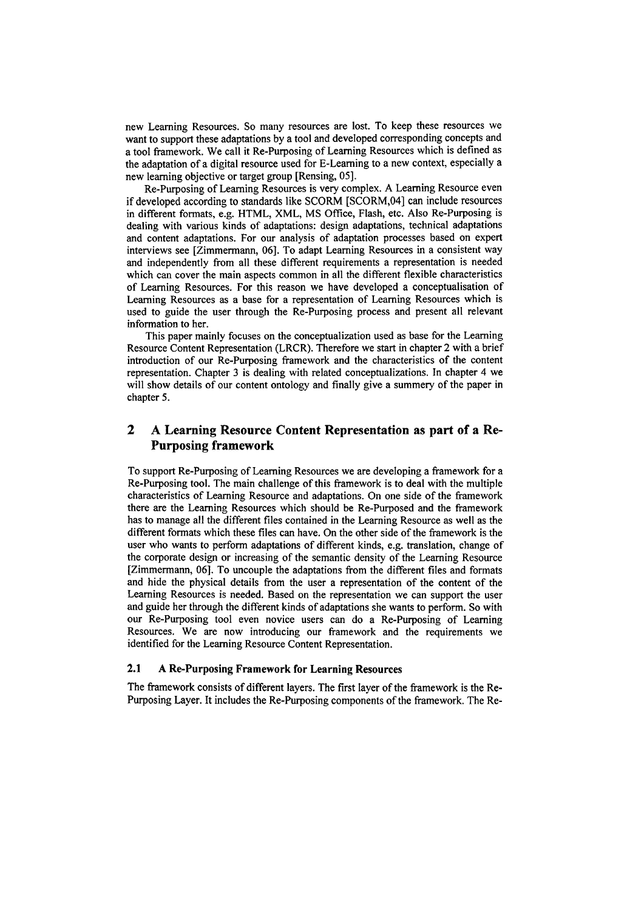new Learning Resources. So many resources are lost. To keep these resources we want to support these adaptations by a tool and developed corresponding concepts and a tool framework. We call it Re-Purposing of Leaming Resources which is defined as the adaptation of a digital resource used for E-Learning to a new context, especially a new learning objective or target group [Rensing, 051.

Re-Purposing of Learning Resources is very complex. A Learning Resource even if developed according to standards like SCORM [SCORM,04] can include resources in different formats, e.g. HTML, XML, MS Office, Flash, etc. Also Re-Purposing is dealing with various kinds of adaptations: design adaptations, technical adaptations and content adaptations. For our analysis of adaptation processes based on expert interviews see [Zimmermann, 06]. To adapt Learning Resources in a consistent way and independently from all these different requirements a representation is needed which can cover the main aspects common in all the different flexible characteristics of Leaming Resources. For this reason we have developed a conceptualisation of Learning Resources as a base for a representation of Learning Resources which is used to guide the user through the Re-Purposing process and present all relevant information to her.

This paper mainly focuses on the conceptualization used as base for the Learning Resource Content Representation (LRCR). Therefore we start in chapter 2 with a brief introduction of our Re-Purposing framework and the characteristics of the content representation. Chapter **3** is dealing with related conceptualizations. In chapter 4 we will show details of our content ontology and finally give a summery of the paper in chapter 5.

# **2 A Learning Resource Content Representation as part of a Re-Purposing framework**

To support Re-Purposing of Learning Resources we are developing a framework for a Re-Purposing tool. The main challenge of this framework is to deal with the multiple characteristics of Learning Resource and adaptations. On one side of the framework there are the Leaming Resources which should be Re-Purposed and the framework has to manage all the different files contained in the Leaming Resource as well as the different formats which these files can have. On the other side of the framework is the user who wants to perform adaptations of different kinds, e.g. translation, change of the corporate design or increasing of the semantic density of the Learning Resource [Zimmermann, 061. To uncouple the adaptations from the different files and formats and hide the physical details fiom the User a representation of the content of the Learning Resources is needed. Based on the representation we can support the user and guide her through the different kinds of adaptations she wants to perform. So with our Re-Purposing tool even novice Users can do a Re-Purposing of Learning Resources. We are now introducing our framework and the requirements we identified for the Learning Resource Content Representation.

### **2.1 A** Re-Purposing Framework for Learning Resources

The framework consists of different layers. The first layer of the framework is the Re-Purposing Layer. It includes the Re-Purposing components of the framework. The Re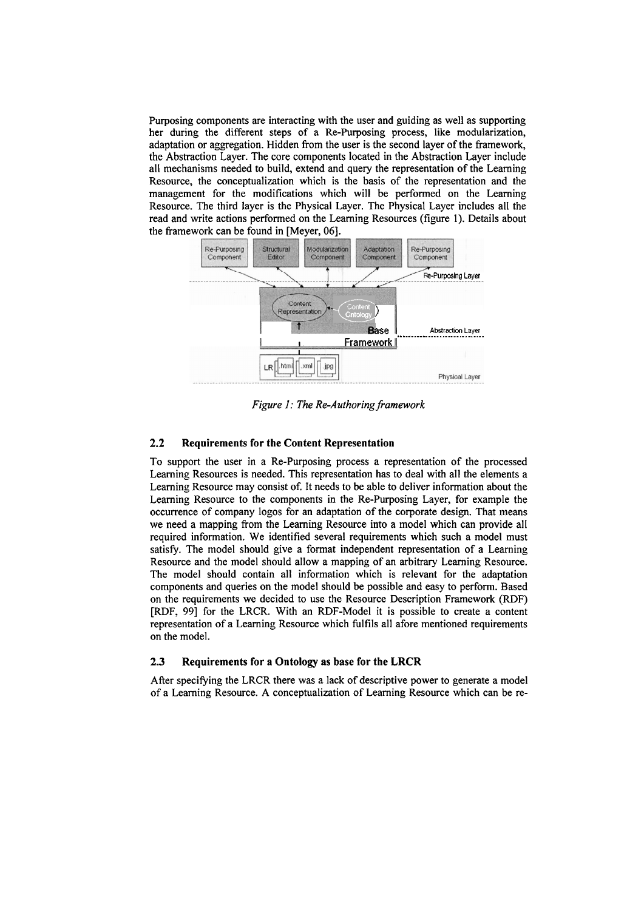Purposing components are interacting with the User and guiding **as** well as supporting her during the different steps of a Re-Purposing process, like modularization, adaptation or aggregation. Hidden from the user is the second layer of the framework, the Abstraction Layer. The core components located in the Abstraction Layer include all mechanisms needed to build, extend and query the representation of the Learning Resource, the conceptualization which is the basis of the representation and the management for the modifications which will be performed on the Learning Resource. The third layer is the Physical Layer. The Physical Layer includes all the read and write actions performed on the Learning Resources (figure 1). Details about the framework can be found in [Meyer, **061.** 



*Figure 1: The Re-Authoring framework* 

### **2.2 Requirements for the Content Representation**

To support the User in a Re-Purposing process a representation of the processed Leaming Resources is needed. This representation has to deal with all the elements a Learning Resource may consist of. It needs to be able to deliver information about the Leaming Resource to the components in the Re-Purposing Layer, for example the occurrence of company logos for an adaptation of the corporate design. That means we need a mapping fiom the Leaming Resource into a model which can provide all required information. We identified several requirements which such a model must satisfy. The model should give a format independent representation of a Learning Resource and the model should allow a mapping of an arbitrary Leaming Resource. The model should contain all information which is relevant for the adaptation components and queries on the model should be possible and easy to perform. Based on the requirements we decided to use the Resource Description Framework (RDF) [RDF, **991** for the LRCR. With an RDF-Model it is possible to create a content representation of a Learning Resource which filfils all afore mentioned requirements on the model.

#### **2.3 Requirements for a Ontology as base for the LRCR**

After specifying the LRCR there was a lack of descriptive power to generate a model of a Leaming Resource. A conceptualization of Leaming Resource which can be re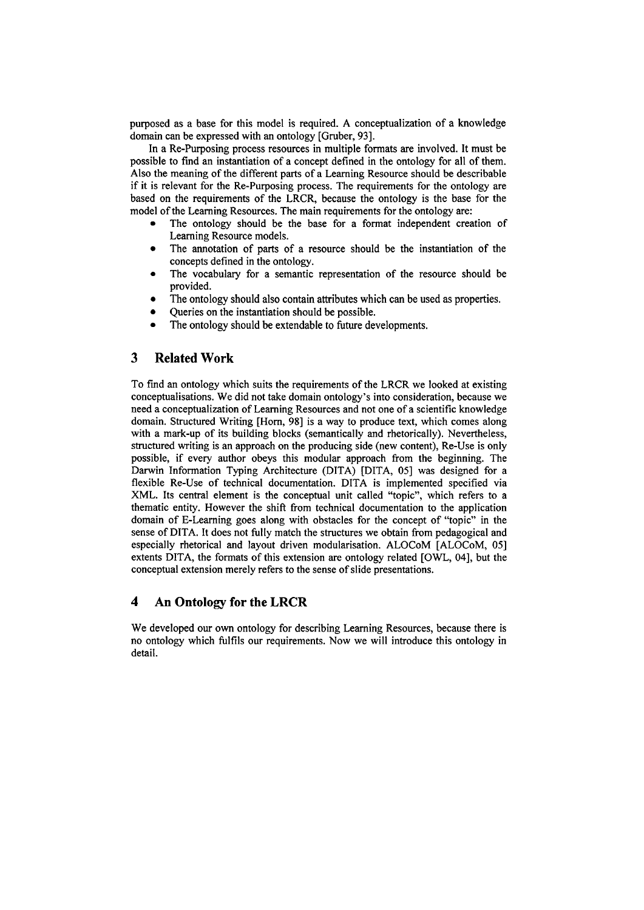purposed as a base for this model is required. A conceptualization of a knowledge domain can be expressed with an ontology [Gruber, 931.

In a Re-Purposing process resources in multiple formats are involved. It must be possible to fmd an instantiation of a concept defined in the ontology for all of them. Also the meaning of the different parts of a Learning Resource should be describable if it is relevant for the Re-Purposing process. The requirements for the ontology are based on the requirements of the LRCR, because the ontology is the base for the model of the Learning Resources. The main requirements for the ontology are:

- The ontology should be the base for a format independent creation of Learning Resource models.
- The annotation of parts of a resource should be the instantiation of the concepts defined in the ontology.
- The vocabulary for a semantic representation of the resource should be  $\bullet$ provided.
- The ontology should also contain attributes which can be used as properties.
- Queries on the instantiation should be possible.
- **The** ontology should be extendable to future developments.

# **3 Related Work**

To fmd an ontology which suits the requirements of the LRCR we looked at existing conceptualisations. We did not take domain ontology's into consideration, because we need a conceptualization of Learning Resources and not one of a scientific knowledge domain. Structured Writing [Horn, 98] is a way to produce text, which comes along with a mark-up of its building blocks (semantically and rhetorically). Nevertheless, structured writing is an approach on the producing side (new content), Re-Use is only possible, if every author obeys this modular approach fiom the beginning. The Darwin Information Typing Architecture (DITA) [DITA, 051 was designed for a flexible Re-Use of technical documentation. DITA is implemented specified via XML. Its central element is the conceptual unit called "topic", which refers to a thematic entity. However the shift from technical documentation to the application domain of E-Learning goes along with obstacles for the concept of "topic" in the sense of DITA. It does not fully match the structures we obtain from pedagogical and especially rhetorical and layout driven modularisation. ALOCoM [ALOCoM, 051 extents DITA, the formats of this extension are ontology related [OWL, 041, but the conceptual extension merely refers to the sense of slide presentations.

# **4 An Ontology for the LRCR**

We developed our own ontology for describing Learning Resources, because there is no ontology which fulfils our requirements. Now we will introduce this ontology in detail.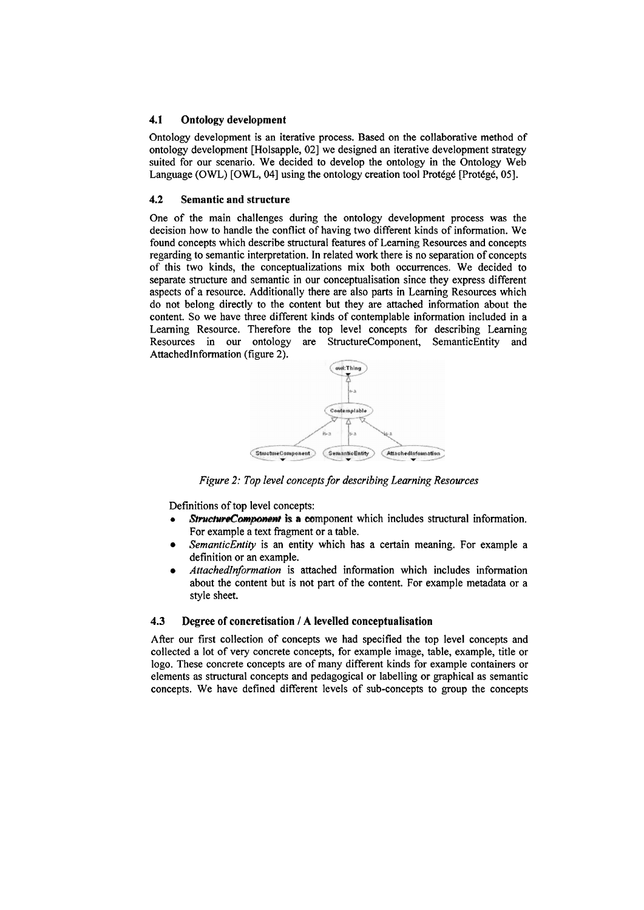### **4.1 Ontology development**

Ontology development is an iterative process. Based on the collaborative method of ontology development [Holsapple, 021 we designed an iterative development strategy suited for our scenario. We decided to develop the ontology in the Ontology Web Language (OWL) [OWL, 04] using the ontology creation tool Protégé [Protégé, 05].

#### **4.2 Semantic and structure**

One of the main challenges during the ontology development process was the decision how to handle the conflict of having two different kinds of information. We found concepts which describe structural feakres of Learning Resources and concepts regarding to semantic interpretation. In related work there is no separation of concepts of this two kinds, the conceptualizations mix both occurrences. We decided-to separate structure and semantic in our conceptualisation since they express different aspects of a resource. Additionally there are also parts in Leaming Resources which do not belong directly to the content but they are attached information about the content. So we have three different kinds of contemplable information included in a Learning Resource. Therefore the top level concepts for describing Learning Resources in our ontology are StructureComponent, SemanticEntity and AttachedInformation (figure 2).



*Figure 2: Top level concepts for describing Learning Resources* 

Definitions of top level concepts:

- *StructureComponent* is a component which includes structural information. For example a text fragment or a table.
- *SemanticEntity* is an entity which has a certain meaning. For example a definition or an example.
- *AttachedInformation* is attached information which includes information about the content but is not part of the content. For example metadata or a style sheet.

#### **4.3 Degree of concretisation** / **A levelled conceptualisation**

After our first collection of concepts we had specified the top level concepts and collected a lot of very concrete concepts, for example image, table, example, title or logo. These concrete concepts are of many different kinds for example containers or elements as structural concepts and pedagogical or labelling or graphical as semantic concepts. We have defined different levels of sub-concepts to group the concepts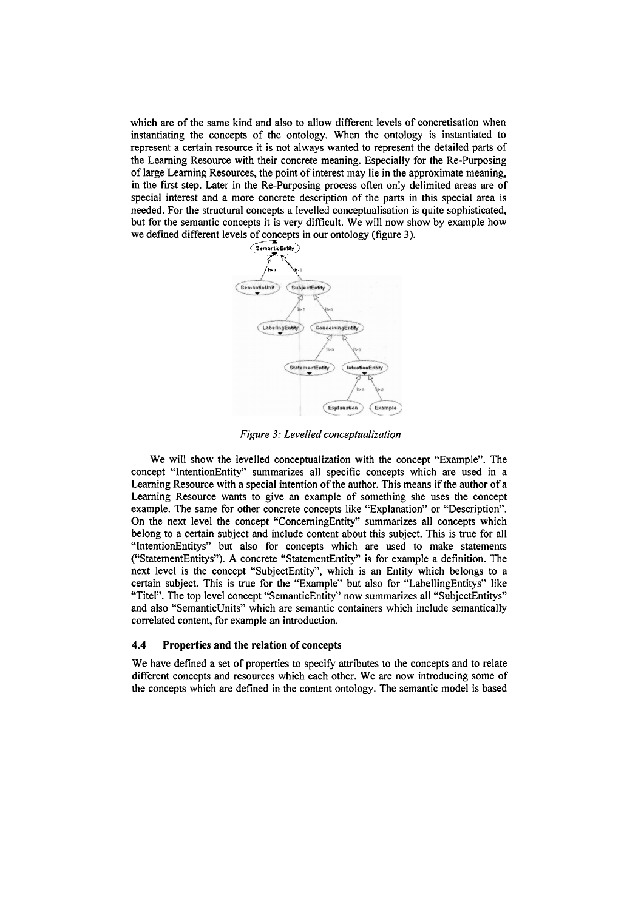which are of the Same kind and also to allow different levels of concretisation when instantiating the concepts of the ontology. When the ontology is instantiated to represent a certain resource it is not always wanted to represent the detailed parts of the Leaming Resource with their concrete meaning. Especially for the Re-Purposing of large Leaming Resources, the point of interest may lie in the approximate meaning, in the fust step. Later in the Re-Purposing process ofien only delimited areas are of special interest and a more concrete description of the parts in this special area is needed. For the structural concepts a levelled conceptualisation is quite sophisticated, but for the semantic concepts it is very difficult. We will now show by example how we defined different levels of concepts in our ontology (figure 3).



*Figure 3: Levelled conceptualization* 

We will show the levelled conceptualization with the concept "Example". The concept "IntentionEntity" summarizes all specific concepts which are used in a Leaming Resource with a special intention of the author. This means if the author of a Learning Resource wants to give an example of something she uses the concept example. The Same for other concrete concepts like "Explanation" or "Description". On the next level the concept "ConcerningEntity" summarizes all concepts which belong to a certain subject and include content about this subject. This is true for all "IntentionEntitys" but also for concepts which are used to make Statements ("StatementEntitys"). **A** concrete "StatementEntity" is for example a definition. The next level is the concept "SubjectEntity", which is an Entity which belongs to a certain subject. This is true for the "Example" but also for "LabellingEntitys" like "Titel". The top level concept "SemanticEntity" now summarizes all "SubjectEntitys" and also "SemanticUnits" which are semantic containers which include semantically correlated content, for example an introduction.

#### **4.4** Properties and the relation of concepts

We have defined a set of properties to specify attributes to the concepts and to relate different concepts and resources which each other. We are now introducing some of the concepts which are defined in the content ontology. The semantic model is based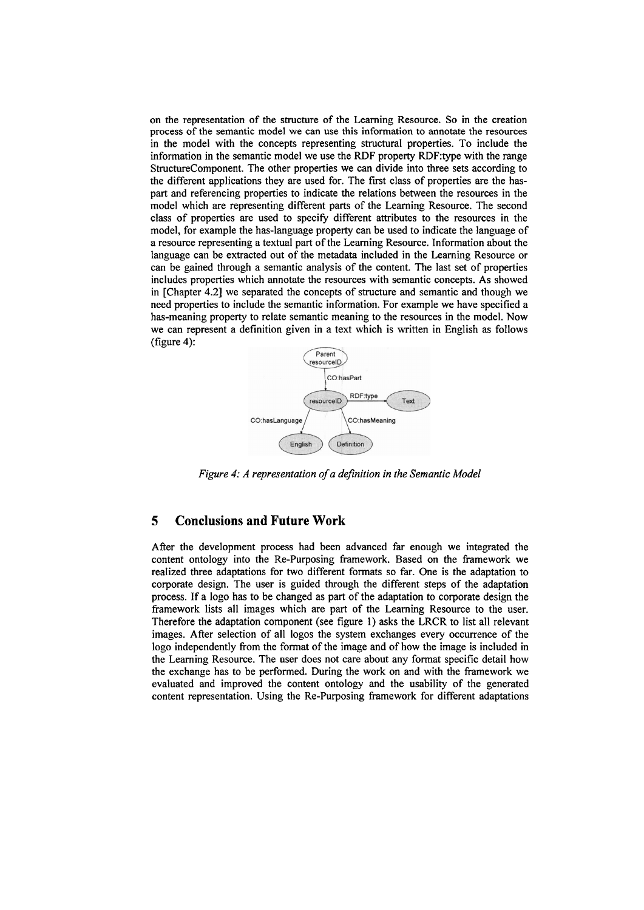on the representation of the structure of the Leaming Resource. So in the creation process of the semantic model we can use this information to annotate the resources in the model with the concepts representing structural properties. To include the information in the semantic model we use the RDF property RDF:type with the range StructureComponent. The other properties we can divide into three Sets according to the different applications they are used for. The first class of properties are the has-Part and referencing properties to indicate the relations between the resources in the model which are representing different parts of the Learning Resource. The second class of properties are used to specify different attributes to the resources in the model, for example the has-language property can be used to indicate the language of a resource representing a textual part of the Learning Resource. Information about the language can be extracted out of the metadata included in the Learning Resource or can be gained through a semantic analysis of the content. The last set of properties includes properties which annotate the resources with semantic concepts. As showed in [Chapter 4.21 we separated the concepts of structure and semantic and though we need properties to include the semantic information. For example we have specified a has-meaning property to relate semantic meaning to the resources in the model. Now we can represent a definition given in a text which is written in English as follows (figure 4):



*Figure 4: A representation of a definition in the Semantic Model* 

# **5 Conclusions and Future Work**

After the development process had been advanced far enough we integrated the content ontology into the Re-Purposing framework. Based on the fiamework we realized three adaptations for two different formats so far. One is the adaptation to corporate design. The user is guided through the different steps of the adaptation process. If a logo has to be changed as part of the adaptation to corporate design the framework lists all images which are part of the Learning Resource to the user. Therefore the adaptation component (see figure 1) asks the LRCR to list all relevant images. After selection of all logos the System exchanges every occurrence of the logo independently from the format of the image and of how the image is included in the Learning Resource. The User does not care about any format specific detail how the exchange has to be performed. During the work on and with the fiamework we evaluated and improved the content ontology and the usability of the generated content representation. Using the Re-Purposing framework for different adaptations